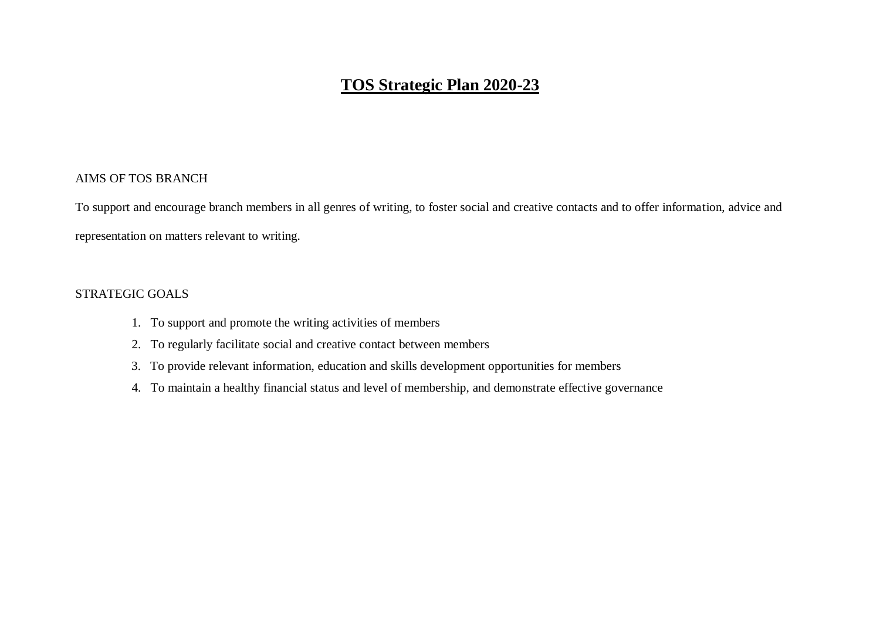### AIMS OF TOS BRANCH

To support and encourage branch members in all genres of writing, to foster social and creative contacts and to offer information, advice and representation on matters relevant to writing.

### STRATEGIC GOALS

- 1. To support and promote the writing activities of members
- 2. To regularly facilitate social and creative contact between members
- 3. To provide relevant information, education and skills development opportunities for members
- 4. To maintain a healthy financial status and level of membership, and demonstrate effective governance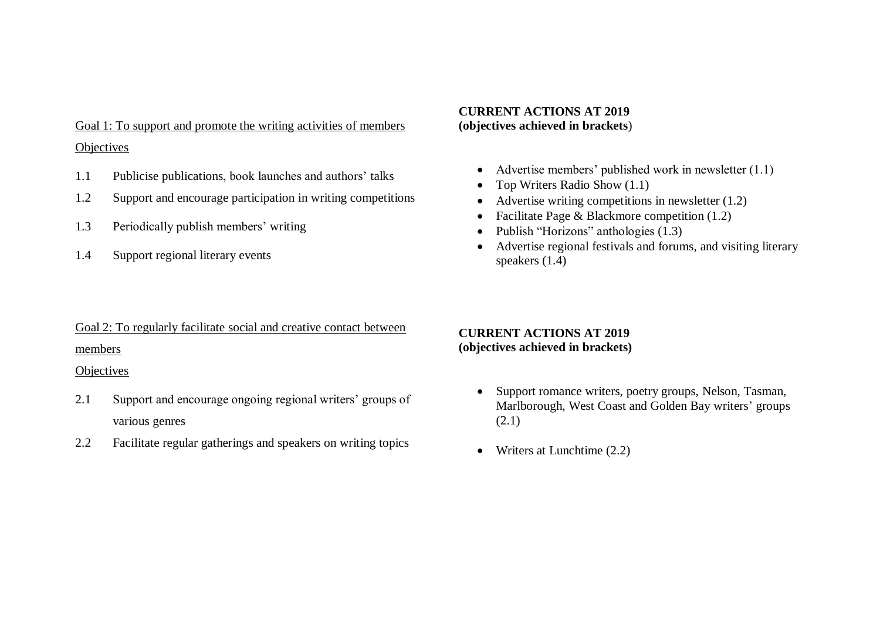Goal 1: To support and promote the writing activities of members **Objectives** 

- 1.1 Publicise publications, book launches and authors' talks
- 1.2 Support and encourage participation in writing competitions
- 1.3 Periodically publish members' writing
- 1.4 Support regional literary events

# Goal 2: To regularly facilitate social and creative contact between

### members

#### **Objectives**

- 2.1 Support and encourage ongoing regional writers' groups of various genres
- 2.2 Facilitate regular gatherings and speakers on writing topics

### **CURRENT ACTIONS AT 2019 (objectives achieved in brackets**)

- Advertise members' published work in newsletter  $(1.1)$
- Top Writers Radio Show (1.1)
- Advertise writing competitions in newsletter (1.2)
- Facilitate Page  $& Blackmore competition (1.2)$
- Publish "Horizons" anthologies (1.3)
- Advertise regional festivals and forums, and visiting literary speakers (1.4)

## **CURRENT ACTIONS AT 2019 (objectives achieved in brackets)**

- Support romance writers, poetry groups, Nelson, Tasman, Marlborough, West Coast and Golden Bay writers' groups (2.1)
- Writers at Lunchtime  $(2.2)$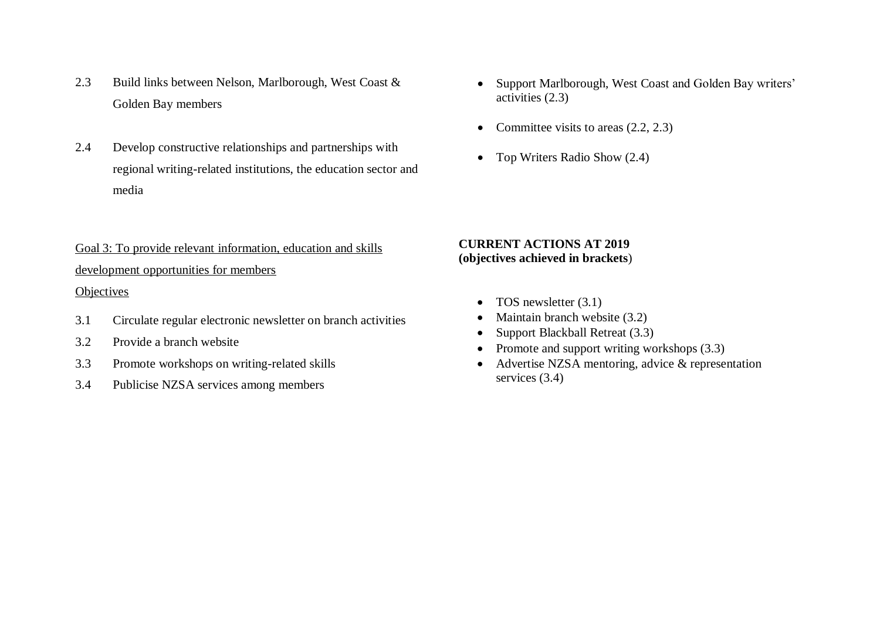- 2.3 Build links between Nelson, Marlborough, West Coast & Golden Bay members
- 2.4 Develop constructive relationships and partnerships with regional writing-related institutions, the education sector and media
- Goal 3: To provide relevant information, education and skills development opportunities for members

### **Objectives**

- 3.1 Circulate regular electronic newsletter on branch activities
- 3.2 Provide a branch website
- 3.3 Promote workshops on writing-related skills
- 3.4 Publicise NZSA services among members
- Support Marlborough, West Coast and Golden Bay writers' activities (2.3)
- Committee visits to areas  $(2.2, 2.3)$
- Top Writers Radio Show (2.4)

### **CURRENT ACTIONS AT 2019 (objectives achieved in brackets**)

- TOS newsletter  $(3.1)$
- Maintain branch website  $(3.2)$
- Support Blackball Retreat (3.3)
- Promote and support writing workshops  $(3.3)$
- Advertise NZSA mentoring, advice & representation services (3.4)